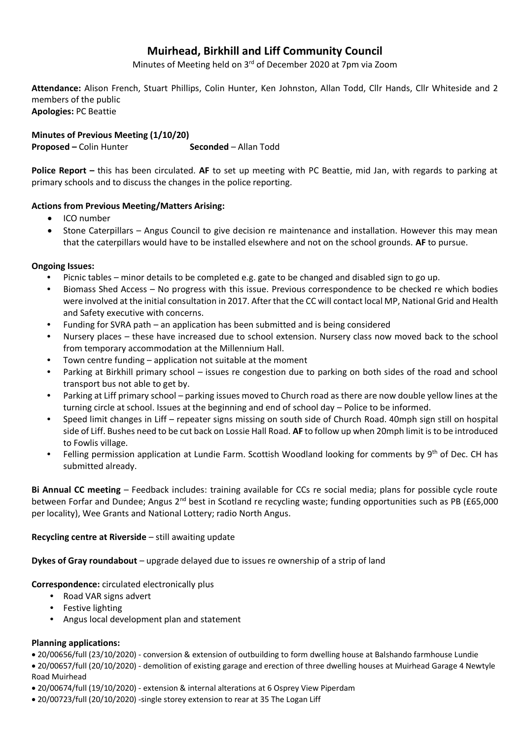# **Muirhead, Birkhill and Liff Community Council**

Minutes of Meeting held on 3<sup>rd</sup> of December 2020 at 7pm via Zoom

**Attendance:** Alison French, Stuart Phillips, Colin Hunter, Ken Johnston, Allan Todd, Cllr Hands, Cllr Whiteside and 2 members of the public **Apologies:** PC Beattie

**Minutes of Previous Meeting (1/10/20) Proposed** – Colin Hunter **Seconded** – Allan Todd

**Police Report –** this has been circulated. **AF** to set up meeting with PC Beattie, mid Jan, with regards to parking at primary schools and to discuss the changes in the police reporting.

## **Actions from Previous Meeting/Matters Arising:**

- ICO number
- Stone Caterpillars Angus Council to give decision re maintenance and installation. However this may mean that the caterpillars would have to be installed elsewhere and not on the school grounds. **AF** to pursue.

#### **Ongoing Issues:**

- Picnic tables minor details to be completed e.g. gate to be changed and disabled sign to go up.
- Biomass Shed Access No progress with this issue. Previous correspondence to be checked re which bodies were involved at the initial consultation in 2017. After that the CC will contact local MP, National Grid and Health and Safety executive with concerns.
- Funding for SVRA path an application has been submitted and is being considered
- Nursery places these have increased due to school extension. Nursery class now moved back to the school from temporary accommodation at the Millennium Hall.
- Town centre funding application not suitable at the moment
- Parking at Birkhill primary school issues re congestion due to parking on both sides of the road and school transport bus not able to get by.
- Parking at Liff primary school parking issues moved to Church road as there are now double yellow lines at the turning circle at school. Issues at the beginning and end of school day – Police to be informed.
- Speed limit changes in Liff repeater signs missing on south side of Church Road. 40mph sign still on hospital side of Liff. Bushes need to be cut back on Lossie Hall Road. **AF** to follow up when 20mph limit isto be introduced to Fowlis village.
- Felling permission application at Lundie Farm. Scottish Woodland looking for comments by 9<sup>th</sup> of Dec. CH has submitted already.

**Bi Annual CC meeting** – Feedback includes: training available for CCs re social media; plans for possible cycle route between Forfar and Dundee; Angus 2<sup>nd</sup> best in Scotland re recycling waste; funding opportunities such as PB (£65,000 per locality), Wee Grants and National Lottery; radio North Angus.

#### **Recycling centre at Riverside** – still awaiting update

**Dykes of Gray roundabout** – upgrade delayed due to issues re ownership of a strip of land

**Correspondence:** circulated electronically plus

- Road VAR signs advert
- Festive lighting
- Angus local development plan and statement

#### **Planning applications:**

20/00656/full (23/10/2020) - conversion & extension of outbuilding to form dwelling house at Balshando farmhouse Lundie

 20/00657/full (20/10/2020) - demolition of existing garage and erection of three dwelling houses at Muirhead Garage 4 Newtyle Road Muirhead

- 20/00674/full (19/10/2020) extension & internal alterations at 6 Osprey View Piperdam
- 20/00723/full (20/10/2020) -single storey extension to rear at 35 The Logan Liff